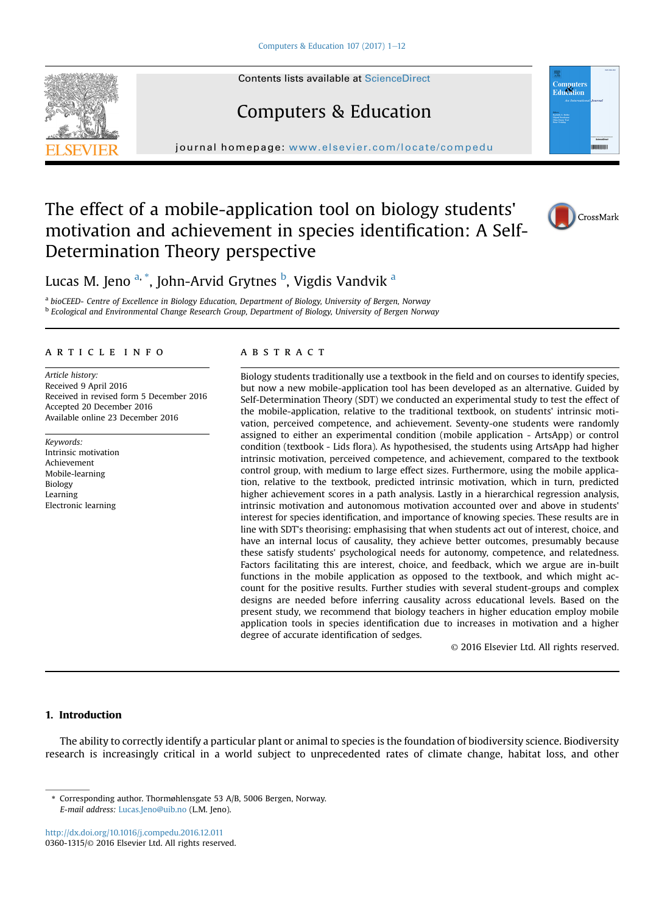Contents lists available at [ScienceDirect](www.sciencedirect.com/science/journal/03601315)



journal homepage: <www.elsevier.com/locate/compedu>

Computers & Education

# The effect of a mobile-application tool on biology students' motivation and achievement in species identification: A Self-Determination Theory perspective



Lucas M. Jeno <sup>a, \*</sup>, John-Arvid Grytnes <sup>b</sup>, Vigdis Vandvik <sup>a</sup>

<sup>a</sup> bioCEED- Centre of Excellence in Biology Education, Department of Biology, University of Bergen, Norway <sup>b</sup> Ecological and Environmental Change Research Group, Department of Biology, University of Bergen Norway

# article info

Article history: Received 9 April 2016 Received in revised form 5 December 2016 Accepted 20 December 2016 Available online 23 December 2016

Keywords: Intrinsic motivation Achievement Mobile-learning Biology Learning Electronic learning

# **ABSTRACT**

Biology students traditionally use a textbook in the field and on courses to identify species, but now a new mobile-application tool has been developed as an alternative. Guided by Self-Determination Theory (SDT) we conducted an experimental study to test the effect of the mobile-application, relative to the traditional textbook, on students' intrinsic motivation, perceived competence, and achievement. Seventy-one students were randomly assigned to either an experimental condition (mobile application - ArtsApp) or control condition (textbook - Lids flora). As hypothesised, the students using ArtsApp had higher intrinsic motivation, perceived competence, and achievement, compared to the textbook control group, with medium to large effect sizes. Furthermore, using the mobile application, relative to the textbook, predicted intrinsic motivation, which in turn, predicted higher achievement scores in a path analysis. Lastly in a hierarchical regression analysis, intrinsic motivation and autonomous motivation accounted over and above in students' interest for species identification, and importance of knowing species. These results are in line with SDT's theorising: emphasising that when students act out of interest, choice, and have an internal locus of causality, they achieve better outcomes, presumably because these satisfy students' psychological needs for autonomy, competence, and relatedness. Factors facilitating this are interest, choice, and feedback, which we argue are in-built functions in the mobile application as opposed to the textbook, and which might account for the positive results. Further studies with several student-groups and complex designs are needed before inferring causality across educational levels. Based on the present study, we recommend that biology teachers in higher education employ mobile application tools in species identification due to increases in motivation and a higher degree of accurate identification of sedges.

© 2016 Elsevier Ltd. All rights reserved.

# 1. Introduction

The ability to correctly identify a particular plant or animal to species is the foundation of biodiversity science. Biodiversity research is increasingly critical in a world subject to unprecedented rates of climate change, habitat loss, and other

<http://dx.doi.org/10.1016/j.compedu.2016.12.011> 0360-1315/© 2016 Elsevier Ltd. All rights reserved.

<sup>\*</sup> Corresponding author. Thormøhlensgate 53 A/B, 5006 Bergen, Norway. E-mail address: [Lucas.Jeno@uib.no](mailto:Lucas.Jeno@uib.no) (L.M. Jeno).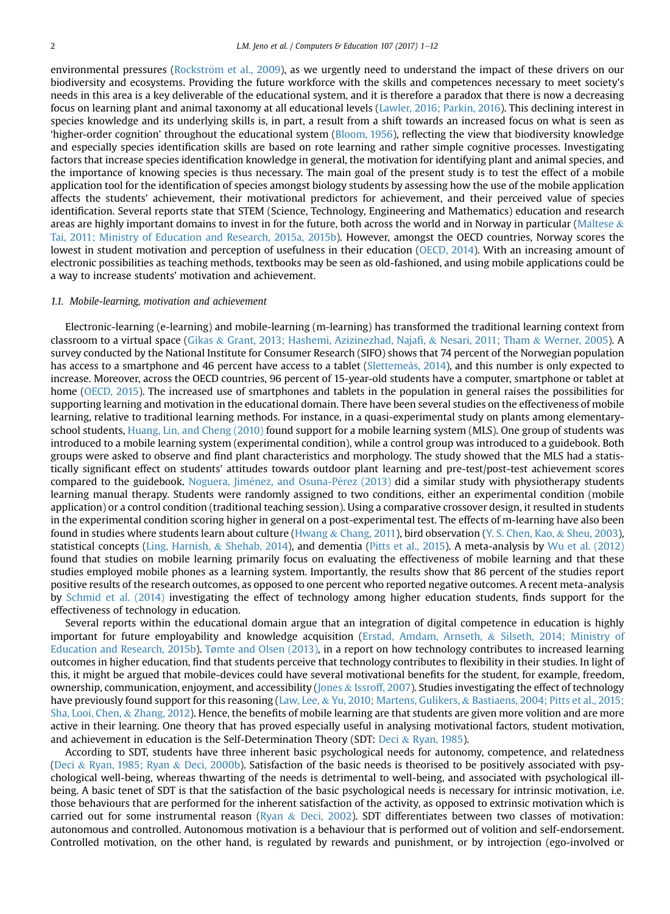environmental pressures (Rockström et al., 2009), as we urgently need to understand the impact of these drivers on our biodiversity and ecosystems. Providing the future workforce with the skills and competences necessary to meet society's needs in this area is a key deliverable of the educational system, and it is therefore a paradox that there is now a decreasing focus on learning plant and animal taxonomy at all educational levels [\(Lawler, 2016; Parkin, 2016\)](#page-10-0). This declining interest in species knowledge and its underlying skills is, in part, a result from a shift towards an increased focus on what is seen as 'higher-order cognition' throughout the educational system ([Bloom, 1956](#page-9-0)), reflecting the view that biodiversity knowledge and especially species identification skills are based on rote learning and rather simple cognitive processes. Investigating factors that increase species identification knowledge in general, the motivation for identifying plant and animal species, and the importance of knowing species is thus necessary. The main goal of the present study is to test the effect of a mobile application tool for the identification of species amongst biology students by assessing how the use of the mobile application affects the students' achievement, their motivational predictors for achievement, and their perceived value of species identification. Several reports state that STEM (Science, Technology, Engineering and Mathematics) education and research areas are highly important domains to invest in for the future, both across the world and in Norway in particular [\(Maltese](#page-10-0)  $\&$ [Tai, 2011; Ministry of Education and Research, 2015a, 2015b](#page-10-0)). However, amongst the OECD countries, Norway scores the lowest in student motivation and perception of usefulness in their education ([OECD, 2014](#page-10-0)). With an increasing amount of electronic possibilities as teaching methods, textbooks may be seen as old-fashioned, and using mobile applications could be a way to increase students' motivation and achievement.

# 1.1. Mobile-learning, motivation and achievement

Electronic-learning (e-learning) and mobile-learning (m-learning) has transformed the traditional learning context from classroom to a virtual space ([Gikas](#page-10-0) & [Grant, 2013; Hashemi, Azizinezhad, Naja](#page-10-0)fi, & [Nesari, 2011; Tham](#page-10-0) & [Werner, 2005](#page-10-0)). A survey conducted by the National Institute for Consumer Research (SIFO) shows that 74 percent of the Norwegian population has access to a smartphone and 46 percent have access to a tablet ([Slettemeås, 2014](#page-11-0)), and this number is only expected to increase. Moreover, across the OECD countries, 96 percent of 15-year-old students have a computer, smartphone or tablet at home ([OECD, 2015\)](#page-10-0). The increased use of smartphones and tablets in the population in general raises the possibilities for supporting learning and motivation in the educational domain. There have been several studies on the effectiveness of mobile learning, relative to traditional learning methods. For instance, in a quasi-experimental study on plants among elementaryschool students, [Huang, Lin, and Cheng \(2010\)](#page-10-0) found support for a mobile learning system (MLS). One group of students was introduced to a mobile learning system (experimental condition), while a control group was introduced to a guidebook. Both groups were asked to observe and find plant characteristics and morphology. The study showed that the MLS had a statistically significant effect on students' attitudes towards outdoor plant learning and pre-test/post-test achievement scores compared to the guidebook. Noguera, Jiménez, and Osuna-Pé[rez \(2013\)](#page-10-0) did a similar study with physiotherapy students learning manual therapy. Students were randomly assigned to two conditions, either an experimental condition (mobile application) or a control condition (traditional teaching session). Using a comparative crossover design, it resulted in students in the experimental condition scoring higher in general on a post-experimental test. The effects of m-learning have also been found in studies where students learn about culture ([Hwang](#page-10-0) & [Chang, 2011\)](#page-10-0), bird observation [\(Y. S. Chen, Kao,](#page-9-0) & [Sheu, 2003](#page-9-0)), statistical concepts ([Ling, Harnish,](#page-10-0) & [Shehab, 2014](#page-10-0)), and dementia [\(Pitts et al., 2015\)](#page-10-0). A meta-analysis by [Wu et al. \(2012\)](#page-11-0) found that studies on mobile learning primarily focus on evaluating the effectiveness of mobile learning and that these studies employed mobile phones as a learning system. Importantly, the results show that 86 percent of the studies report positive results of the research outcomes, as opposed to one percent who reported negative outcomes. A recent meta-analysis by [Schmid et al. \(2014\)](#page-11-0) investigating the effect of technology among higher education students, finds support for the effectiveness of technology in education.

Several reports within the educational domain argue that an integration of digital competence in education is highly important for future employability and knowledge acquisition ([Erstad, Amdam, Arnseth,](#page-10-0) & [Silseth, 2014; Ministry of](#page-10-0) [Education and Research, 2015b](#page-10-0)). [Tømte and Olsen \(2013\)](#page-11-0), in a report on how technology contributes to increased learning outcomes in higher education, find that students perceive that technology contributes to flexibility in their studies. In light of this, it might be argued that mobile-devices could have several motivational benefits for the student, for example, freedom, ownership, communication, enjoyment, and accessibility [\(Jones](#page-10-0) & [Issroff, 2007\)](#page-10-0). Studies investigating the effect of technology have previously found support for this reasoning ([Law, Lee,](#page-10-0) & [Yu, 2010; Martens, Gulikers,](#page-10-0) & [Bastiaens, 2004; Pitts et al., 2015;](#page-10-0) [Sha, Looi, Chen,](#page-10-0) & [Zhang, 2012](#page-10-0)). Hence, the benefits of mobile learning are that students are given more volition and are more active in their learning. One theory that has proved especially useful in analysing motivational factors, student motivation, and achievement in education is the Self-Determination Theory (SDT: [Deci](#page-9-0) & [Ryan, 1985](#page-9-0)).

According to SDT, students have three inherent basic psychological needs for autonomy, competence, and relatedness [\(Deci](#page-9-0) & [Ryan, 1985; Ryan](#page-9-0) & [Deci, 2000b](#page-9-0)). Satisfaction of the basic needs is theorised to be positively associated with psychological well-being, whereas thwarting of the needs is detrimental to well-being, and associated with psychological illbeing. A basic tenet of SDT is that the satisfaction of the basic psychological needs is necessary for intrinsic motivation, i.e. those behaviours that are performed for the inherent satisfaction of the activity, as opposed to extrinsic motivation which is carried out for some instrumental reason ([Ryan](#page-11-0) & [Deci, 2002\)](#page-11-0). SDT differentiates between two classes of motivation: autonomous and controlled. Autonomous motivation is a behaviour that is performed out of volition and self-endorsement. Controlled motivation, on the other hand, is regulated by rewards and punishment, or by introjection (ego-involved or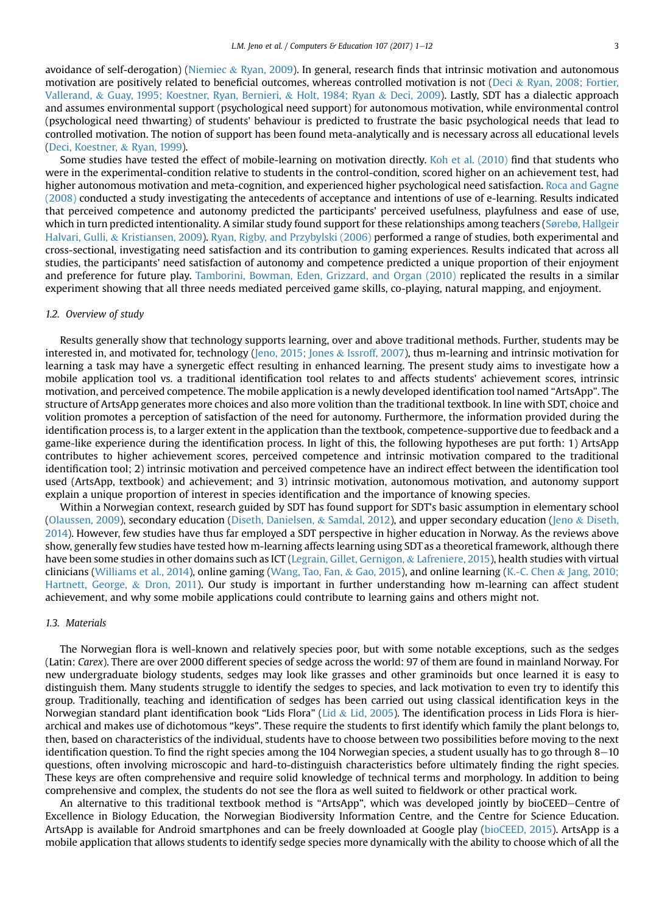avoidance of self-derogation) [\(Niemiec](#page-10-0) & [Ryan, 2009](#page-10-0)). In general, research finds that intrinsic motivation and autonomous motivation are positively related to beneficial outcomes, whereas controlled motivation is not [\(Deci](#page-9-0) & [Ryan, 2008; Fortier,](#page-9-0) [Vallerand,](#page-9-0) & [Guay, 1995; Koestner, Ryan, Bernieri,](#page-9-0) & [Holt, 1984; Ryan](#page-9-0) & [Deci, 2009](#page-9-0)). Lastly, SDT has a dialectic approach and assumes environmental support (psychological need support) for autonomous motivation, while environmental control (psychological need thwarting) of students' behaviour is predicted to frustrate the basic psychological needs that lead to controlled motivation. The notion of support has been found meta-analytically and is necessary across all educational levels ([Deci, Koestner,](#page-9-0) & [Ryan, 1999\)](#page-9-0).

Some studies have tested the effect of mobile-learning on motivation directly. [Koh et al. \(2010\)](#page-10-0) find that students who were in the experimental-condition relative to students in the control-condition, scored higher on an achievement test, had higher autonomous motivation and meta-cognition, and experienced higher psychological need satisfaction. [Roca and Gagne](#page-10-0) [\(2008\)](#page-10-0) conducted a study investigating the antecedents of acceptance and intentions of use of e-learning. Results indicated that perceived competence and autonomy predicted the participants' perceived usefulness, playfulness and ease of use, which in turn predicted intentionality. A similar study found support for these relationships among teachers ([S](#page-11-0)ø[reb](#page-11-0)ø[, Hallgeir](#page-11-0) [Halvari, Gulli,](#page-11-0) & [Kristiansen, 2009](#page-11-0)). [Ryan, Rigby, and Przybylski \(2006\)](#page-11-0) performed a range of studies, both experimental and cross-sectional, investigating need satisfaction and its contribution to gaming experiences. Results indicated that across all studies, the participants' need satisfaction of autonomy and competence predicted a unique proportion of their enjoyment and preference for future play. [Tamborini, Bowman, Eden, Grizzard, and Organ \(2010\)](#page-11-0) replicated the results in a similar experiment showing that all three needs mediated perceived game skills, co-playing, natural mapping, and enjoyment.

# 1.2. Overview of study

Results generally show that technology supports learning, over and above traditional methods. Further, students may be interested in, and motivated for, technology [\(Jeno, 2015; Jones](#page-10-0) & [Issroff, 2007\)](#page-10-0), thus m-learning and intrinsic motivation for learning a task may have a synergetic effect resulting in enhanced learning. The present study aims to investigate how a mobile application tool vs. a traditional identification tool relates to and affects students' achievement scores, intrinsic motivation, and perceived competence. The mobile application is a newly developed identification tool named "ArtsApp". The structure of ArtsApp generates more choices and also more volition than the traditional textbook. In line with SDT, choice and volition promotes a perception of satisfaction of the need for autonomy. Furthermore, the information provided during the identification process is, to a larger extent in the application than the textbook, competence-supportive due to feedback and a game-like experience during the identification process. In light of this, the following hypotheses are put forth: 1) ArtsApp contributes to higher achievement scores, perceived competence and intrinsic motivation compared to the traditional identification tool; 2) intrinsic motivation and perceived competence have an indirect effect between the identification tool used (ArtsApp, textbook) and achievement; and 3) intrinsic motivation, autonomous motivation, and autonomy support explain a unique proportion of interest in species identification and the importance of knowing species.

Within a Norwegian context, research guided by SDT has found support for SDT's basic assumption in elementary school ([Olaussen, 2009](#page-10-0)), secondary education [\(Diseth, Danielsen,](#page-9-0) & [Samdal, 2012](#page-9-0)), and upper secondary education [\(Jeno](#page-10-0) & [Diseth,](#page-10-0) [2014](#page-10-0)). However, few studies have thus far employed a SDT perspective in higher education in Norway. As the reviews above show, generally few studies have tested how m-learning affects learning using SDT as a theoretical framework, although there have been some studies in other domains such as ICT ([Legrain, Gillet, Gernigon,](#page-10-0) & [Lafreniere, 2015](#page-10-0)), health studies with virtual clinicians [\(Williams et al., 2014\)](#page-11-0), online gaming [\(Wang, Tao, Fan,](#page-11-0) & [Gao, 2015](#page-11-0)), and online learning [\(K.-C. Chen](#page-9-0) & [Jang, 2010;](#page-9-0) [Hartnett, George,](#page-9-0) & [Dron, 2011](#page-9-0)). Our study is important in further understanding how m-learning can affect student achievement, and why some mobile applications could contribute to learning gains and others might not.

## 1.3. Materials

The Norwegian flora is well-known and relatively species poor, but with some notable exceptions, such as the sedges (Latin: Carex). There are over 2000 different species of sedge across the world: 97 of them are found in mainland Norway. For new undergraduate biology students, sedges may look like grasses and other graminoids but once learned it is easy to distinguish them. Many students struggle to identify the sedges to species, and lack motivation to even try to identify this group. Traditionally, teaching and identification of sedges has been carried out using classical identification keys in the Norwegian standard plant identification book "[Lid](#page-10-0)s Flora" (Lid & [Lid, 2005\)](#page-10-0). The identification process in Lids Flora is hierarchical and makes use of dichotomous "keys". These require the students to first identify which family the plant belongs to, then, based on characteristics of the individual, students have to choose between two possibilities before moving to the next identification question. To find the right species among the  $104$  Norwegian species, a student usually has to go through  $8-10$ questions, often involving microscopic and hard-to-distinguish characteristics before ultimately finding the right species. These keys are often comprehensive and require solid knowledge of technical terms and morphology. In addition to being comprehensive and complex, the students do not see the flora as well suited to fieldwork or other practical work.

An alternative to this traditional textbook method is "ArtsApp", which was developed jointly by bioCEED-Centre of Excellence in Biology Education, the Norwegian Biodiversity Information Centre, and the Centre for Science Education. ArtsApp is available for Android smartphones and can be freely downloaded at Google play ([bioCEED, 2015\)](#page-9-0). ArtsApp is a mobile application that allows students to identify sedge species more dynamically with the ability to choose which of all the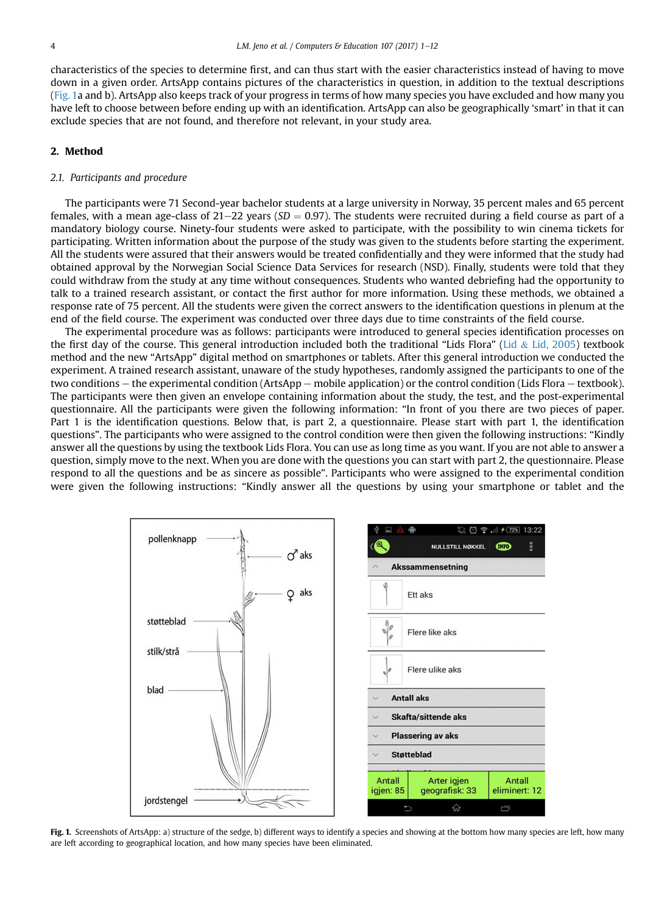characteristics of the species to determine first, and can thus start with the easier characteristics instead of having to move down in a given order. ArtsApp contains pictures of the characteristics in question, in addition to the textual descriptions (Fig. 1a and b). ArtsApp also keeps track of your progress in terms of how many species you have excluded and how many you have left to choose between before ending up with an identification. ArtsApp can also be geographically 'smart' in that it can exclude species that are not found, and therefore not relevant, in your study area.

# 2. Method

## 2.1. Participants and procedure

The participants were 71 Second-year bachelor students at a large university in Norway, 35 percent males and 65 percent females, with a mean age-class of 21–22 years ( $SD = 0.97$ ). The students were recruited during a field course as part of a mandatory biology course. Ninety-four students were asked to participate, with the possibility to win cinema tickets for participating. Written information about the purpose of the study was given to the students before starting the experiment. All the students were assured that their answers would be treated confidentially and they were informed that the study had obtained approval by the Norwegian Social Science Data Services for research (NSD). Finally, students were told that they could withdraw from the study at any time without consequences. Students who wanted debriefing had the opportunity to talk to a trained research assistant, or contact the first author for more information. Using these methods, we obtained a response rate of 75 percent. All the students were given the correct answers to the identification questions in plenum at the end of the field course. The experiment was conducted over three days due to time constraints of the field course.

The experimental procedure was as follows: participants were introduced to general species identification processes on the first day of the course. This general introduction included both the traditional "Lids Flora" [\(Lid](#page-10-0) & [Lid, 2005](#page-10-0)) textbook method and the new "ArtsApp" digital method on smartphones or tablets. After this general introduction we conducted the experiment. A trained research assistant, unaware of the study hypotheses, randomly assigned the participants to one of the two conditions  $-$  the experimental condition (ArtsApp  $-$  mobile application) or the control condition (Lids Flora  $-$  textbook). The participants were then given an envelope containing information about the study, the test, and the post-experimental questionnaire. All the participants were given the following information: "In front of you there are two pieces of paper. Part 1 is the identification questions. Below that, is part 2, a questionnaire. Please start with part 1, the identification questions". The participants who were assigned to the control condition were then given the following instructions: "Kindly answer all the questions by using the textbook Lids Flora. You can use as long time as you want. If you are not able to answer a question, simply move to the next. When you are done with the questions you can start with part 2, the questionnaire. Please respond to all the questions and be as sincere as possible". Participants who were assigned to the experimental condition were given the following instructions: "Kindly answer all the questions by using your smartphone or tablet and the



Fig. 1. Screenshots of ArtsApp: a) structure of the sedge, b) different ways to identify a species and showing at the bottom how many species are left, how many are left according to geographical location, and how many species have been eliminated.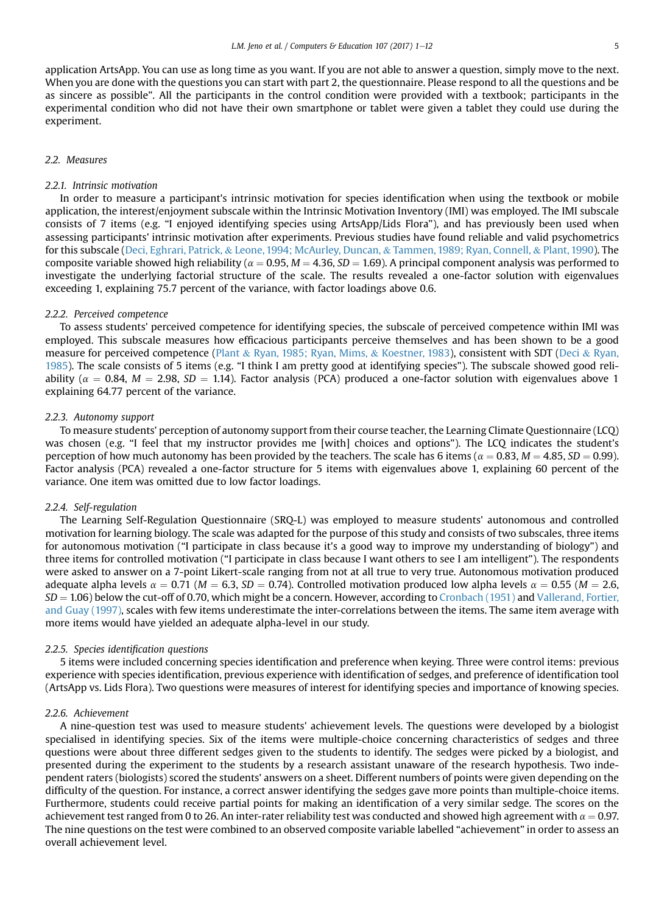application ArtsApp. You can use as long time as you want. If you are not able to answer a question, simply move to the next. When you are done with the questions you can start with part 2, the questionnaire. Please respond to all the questions and be as sincere as possible". All the participants in the control condition were provided with a textbook; participants in the experimental condition who did not have their own smartphone or tablet were given a tablet they could use during the experiment.

# 2.2. Measures

#### 2.2.1. Intrinsic motivation

In order to measure a participant's intrinsic motivation for species identification when using the textbook or mobile application, the interest/enjoyment subscale within the Intrinsic Motivation Inventory (IMI) was employed. The IMI subscale consists of 7 items (e.g. "I enjoyed identifying species using ArtsApp/Lids Flora"), and has previously been used when assessing participants' intrinsic motivation after experiments. Previous studies have found reliable and valid psychometrics for this subscale ([Deci, Eghrari, Patrick,](#page-9-0) & [Leone, 1994; McAurley, Duncan,](#page-9-0) & [Tammen, 1989; Ryan, Connell,](#page-9-0) & [Plant, 1990\)](#page-9-0). The composite variable showed high reliability ( $\alpha = 0.95$ ,  $M = 4.36$ ,  $SD = 1.69$ ). A principal component analysis was performed to investigate the underlying factorial structure of the scale. The results revealed a one-factor solution with eigenvalues exceeding 1, explaining 75.7 percent of the variance, with factor loadings above 0.6.

#### 2.2.2. Perceived competence

To assess students' perceived competence for identifying species, the subscale of perceived competence within IMI was employed. This subscale measures how efficacious participants perceive themselves and has been shown to be a good measure for perceived competence [\(Plant](#page-10-0) & [Ryan, 1985; Ryan, Mims,](#page-10-0) & [Koestner, 1983\)](#page-10-0), consistent with SDT ([Deci](#page-9-0) & [Ryan,](#page-9-0) [1985](#page-9-0)). The scale consists of 5 items (e.g. "I think I am pretty good at identifying species"). The subscale showed good reliability ( $\alpha = 0.84$ ,  $M = 2.98$ ,  $SD = 1.14$ ). Factor analysis (PCA) produced a one-factor solution with eigenvalues above 1 explaining 64.77 percent of the variance.

# 2.2.3. Autonomy support

To measure students' perception of autonomy support from their course teacher, the Learning Climate Questionnaire (LCQ) was chosen (e.g. "I feel that my instructor provides me [with] choices and options"). The LCQ indicates the student's perception of how much autonomy has been provided by the teachers. The scale has 6 items ( $\alpha = 0.83$ ,  $M = 4.85$ ,  $SD = 0.99$ ). Factor analysis (PCA) revealed a one-factor structure for 5 items with eigenvalues above 1, explaining 60 percent of the variance. One item was omitted due to low factor loadings.

#### 2.2.4. Self-regulation

The Learning Self-Regulation Questionnaire (SRQ-L) was employed to measure students' autonomous and controlled motivation for learning biology. The scale was adapted for the purpose of this study and consists of two subscales, three items for autonomous motivation ("I participate in class because it's a good way to improve my understanding of biology") and three items for controlled motivation ("I participate in class because I want others to see I am intelligent"). The respondents were asked to answer on a 7-point Likert-scale ranging from not at all true to very true. Autonomous motivation produced adequate alpha levels  $\alpha = 0.71$  ( $M = 6.3$ ,  $SD = 0.74$ ). Controlled motivation produced low alpha levels  $\alpha = 0.55$  ( $M = 2.6$ ,  $SD = 1.06$ ) below the cut-off of 0.70, which might be a concern. However, according to [Cronbach \(1951\)](#page-9-0) and [Vallerand, Fortier,](#page-11-0) [and Guay \(1997\),](#page-11-0) scales with few items underestimate the inter-correlations between the items. The same item average with more items would have yielded an adequate alpha-level in our study.

# 2.2.5. Species identification questions

5 items were included concerning species identification and preference when keying. Three were control items: previous experience with species identification, previous experience with identification of sedges, and preference of identification tool (ArtsApp vs. Lids Flora). Two questions were measures of interest for identifying species and importance of knowing species.

# 2.2.6. Achievement

A nine-question test was used to measure students' achievement levels. The questions were developed by a biologist specialised in identifying species. Six of the items were multiple-choice concerning characteristics of sedges and three questions were about three different sedges given to the students to identify. The sedges were picked by a biologist, and presented during the experiment to the students by a research assistant unaware of the research hypothesis. Two independent raters (biologists) scored the students' answers on a sheet. Different numbers of points were given depending on the difficulty of the question. For instance, a correct answer identifying the sedges gave more points than multiple-choice items. Furthermore, students could receive partial points for making an identification of a very similar sedge. The scores on the achievement test ranged from 0 to 26. An inter-rater reliability test was conducted and showed high agreement with  $\alpha$  = 0.97. The nine questions on the test were combined to an observed composite variable labelled "achievement" in order to assess an overall achievement level.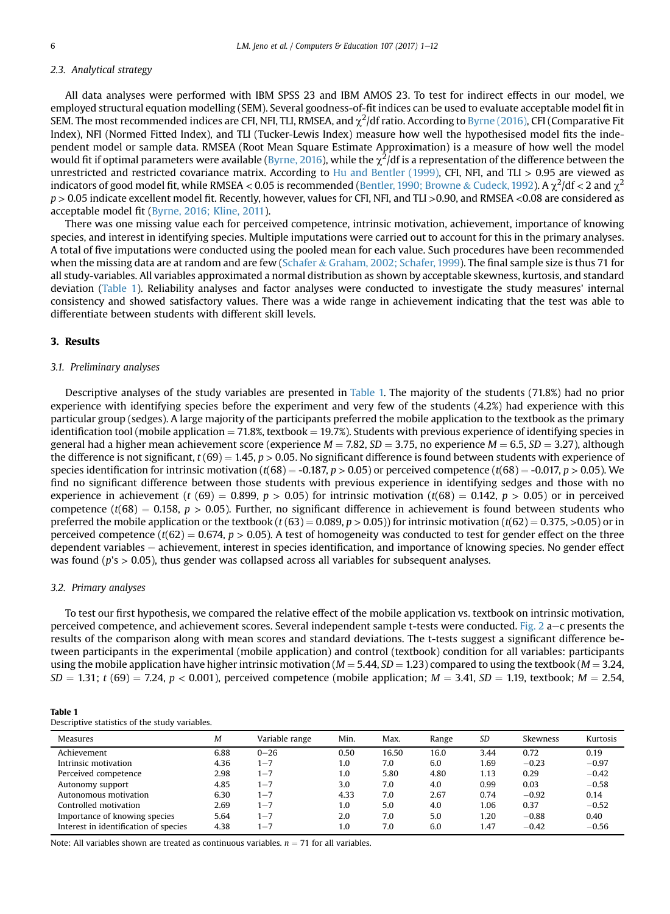# 2.3. Analytical strategy

All data analyses were performed with IBM SPSS 23 and IBM AMOS 23. To test for indirect effects in our model, we employed structural equation modelling (SEM). Several goodness-of-fit indices can be used to evaluate acceptable model fit in SEM. The most recommended indices are CFI, NFI, TLI, RMSEA, and  $\chi^2$ /df ratio. According to [Byrne \(2016\)](#page-9-0), CFI (Comparative Fit Index), NFI (Normed Fitted Index), and TLI (Tucker-Lewis Index) measure how well the hypothesised model fits the independent model or sample data. RMSEA (Root Mean Square Estimate Approximation) is a measure of how well the model would fit if optimal parameters were available ([Byrne, 2016\)](#page-9-0), while the  $\chi^2$ /df is a representation of the difference between the unrestricted and restricted covariance matrix. According to [Hu and Bentler \(1999\),](#page-10-0) CFI, NFI, and TLI > 0.95 are viewed as indicators of good model fit, while RMSEA < 0.05 is recommended [\(Bentler, 1990; Browne](#page-9-0) & [Cudeck, 1992\)](#page-9-0). A  $\chi^2$ /df < 2 and  $\chi^2$ p > 0.05 indicate excellent model fit. Recently, however, values for CFI, NFI, and TLI >0.90, and RMSEA <0.08 are considered as acceptable model fit [\(Byrne, 2016; Kline, 2011](#page-9-0)).

There was one missing value each for perceived competence, intrinsic motivation, achievement, importance of knowing species, and interest in identifying species. Multiple imputations were carried out to account for this in the primary analyses. A total of five imputations were conducted using the pooled mean for each value. Such procedures have been recommended when the missing data are at random and are few ([Schafer](#page-11-0) & [Graham, 2002; Schafer, 1999\)](#page-11-0). The final sample size is thus 71 for all study-variables. All variables approximated a normal distribution as shown by acceptable skewness, kurtosis, and standard deviation (Table 1). Reliability analyses and factor analyses were conducted to investigate the study measures' internal consistency and showed satisfactory values. There was a wide range in achievement indicating that the test was able to differentiate between students with different skill levels.

### 3. Results

# 3.1. Preliminary analyses

Descriptive analyses of the study variables are presented in Table 1. The majority of the students (71.8%) had no prior experience with identifying species before the experiment and very few of the students (4.2%) had experience with this particular group (sedges). A large majority of the participants preferred the mobile application to the textbook as the primary identification tool (mobile application  $= 71.8\%$ , textbook  $= 19.7\%$ ). Students with previous experience of identifying species in general had a higher mean achievement score (experience  $M = 7.82$ ,  $SD = 3.75$ , no experience  $M = 6.5$ ,  $SD = 3.27$ ), although the difference is not significant,  $t (69) = 1.45, p > 0.05$ . No significant difference is found between students with experience of species identification for intrinsic motivation (t(68) = -0.187, p > 0.05) or perceived competence (t(68) = -0.017, p > 0.05). We find no significant difference between those students with previous experience in identifying sedges and those with no experience in achievement (t (69) = 0.899, p > 0.05) for intrinsic motivation (t(68) = 0.142, p > 0.05) or in perceived competence ( $t(68) = 0.158$ ,  $p > 0.05$ ). Further, no significant difference in achievement is found between students who preferred the mobile application or the textbook (t(63) = 0.089, p > 0.05)) for intrinsic motivation (t(62) = 0.375, >0.05) or in perceived competence ( $t(62) = 0.674$ ,  $p > 0.05$ ). A test of homogeneity was conducted to test for gender effect on the three dependent variables – achievement, interest in species identification, and importance of knowing species. No gender effect was found ( $p$ 's  $> 0.05$ ), thus gender was collapsed across all variables for subsequent analyses.

# 3.2. Primary analyses

To test our first hypothesis, we compared the relative effect of the mobile application vs. textbook on intrinsic motivation, perceived competence, and achievement scores. Several independent sample t-tests were conducted. [Fig. 2](#page-6-0) a-c presents the results of the comparison along with mean scores and standard deviations. The t-tests suggest a significant difference between participants in the experimental (mobile application) and control (textbook) condition for all variables: participants using the mobile application have higher intrinsic motivation ( $M = 5.44$ ,  $SD = 1.23$ ) compared to using the textbook ( $M = 3.24$ ,  $SD = 1.31$ ; t (69) = 7.24, p < 0.001), perceived competence (mobile application;  $M = 3.41$ ,  $SD = 1.19$ , textbook;  $M = 2.54$ ,

| <b>Table 1</b>                                 |  |
|------------------------------------------------|--|
| Descriptive statistics of the study variables. |  |

| <b>Measures</b>                       | M    | Variable range | Min. | Max.  | Range | <b>SD</b> | Skewness | Kurtosis |
|---------------------------------------|------|----------------|------|-------|-------|-----------|----------|----------|
| Achievement                           | 6.88 | $0 - 26$       | 0.50 | 16.50 | 16.0  | 3.44      | 0.72     | 0.19     |
| Intrinsic motivation                  | 4.36 | $1 - 7$        | 1.0  | 7.0   | 6.0   | 1.69      | $-0.23$  | $-0.97$  |
| Perceived competence                  | 2.98 | $1 - 7$        | 1.0  | 5.80  | 4.80  | 1.13      | 0.29     | $-0.42$  |
| Autonomy support                      | 4.85 | $1 - 7$        | 3.0  | 7.0   | 4.0   | 0.99      | 0.03     | $-0.58$  |
| Autonomous motivation                 | 6.30 | $1 - 7$        | 4.33 | 7.0   | 2.67  | 0.74      | $-0.92$  | 0.14     |
| Controlled motivation                 | 2.69 | $1 - 7$        | 1.0  | 5.0   | 4.0   | 1.06      | 0.37     | $-0.52$  |
| Importance of knowing species         | 5.64 | $1 - 7$        | 2.0  | 7.0   | 5.0   | 1.20      | $-0.88$  | 0.40     |
| Interest in identification of species | 4.38 | $1 - 7$        | 1.0  | 7.0   | 6.0   | 1.47      | $-0.42$  | $-0.56$  |

Note: All variables shown are treated as continuous variables.  $n = 71$  for all variables.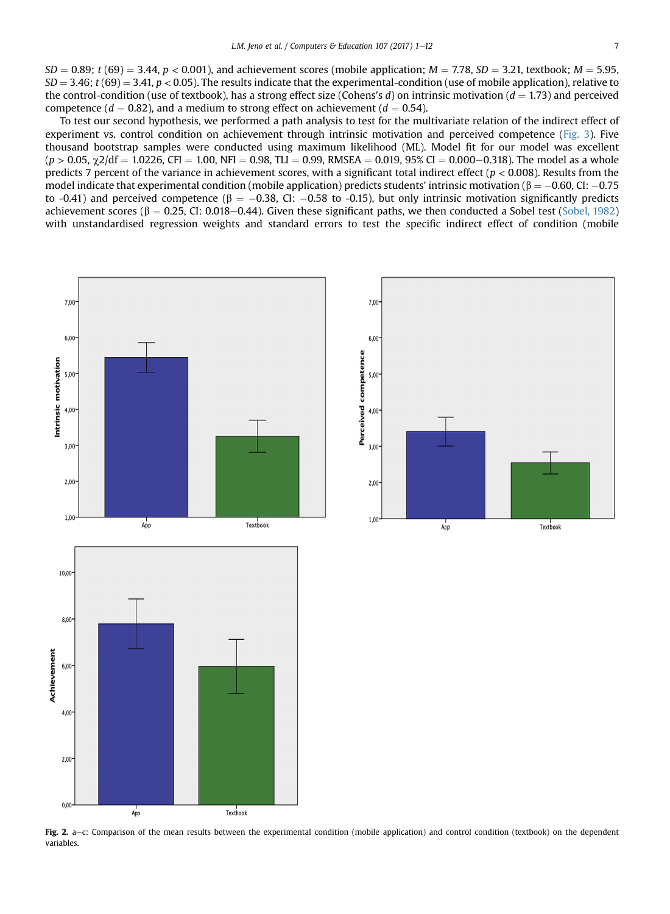<span id="page-6-0"></span> $SD = 0.89$ ; t (69) = 3.44, p < 0.001), and achievement scores (mobile application;  $M = 7.78$ ,  $SD = 3.21$ , textbook;  $M = 5.95$ ,  $SD = 3.46$ ; t (69) = 3.41, p < 0.05). The results indicate that the experimental-condition (use of mobile application), relative to the control-condition (use of textbook), has a strong effect size (Cohens's d) on intrinsic motivation ( $d = 1.73$ ) and perceived competence ( $d = 0.82$ ), and a medium to strong effect on achievement ( $d = 0.54$ ).

To test our second hypothesis, we performed a path analysis to test for the multivariate relation of the indirect effect of experiment vs. control condition on achievement through intrinsic motivation and perceived competence ([Fig. 3](#page-7-0)). Five thousand bootstrap samples were conducted using maximum likelihood (ML). Model fit for our model was excellent  $(p > 0.05, \chi^2/df = 1.0226$ , CFI = 1.00, NFI = 0.98, TLI = 0.99, RMSEA = 0.019, 95% CI = 0.000–0.318). The model as a whole predicts 7 percent of the variance in achievement scores, with a significant total indirect effect ( $p < 0.008$ ). Results from the model indicate that experimental condition (mobile application) predicts students' intrinsic motivation ( $\beta = -0.60$ , CI:  $-0.75$ to -0.41) and perceived competence ( $\beta = -0.38$ , CI: -0.58 to -0.15), but only intrinsic motivation significantly predicts achievement scores ( $\beta = 0.25$ , CI: 0.018–0.44). Given these significant paths, we then conducted a Sobel test [\(Sobel, 1982](#page-11-0)) with unstandardised regression weights and standard errors to test the specific indirect effect of condition (mobile



Fig. 2. a-c: Comparison of the mean results between the experimental condition (mobile application) and control condition (textbook) on the dependent variables.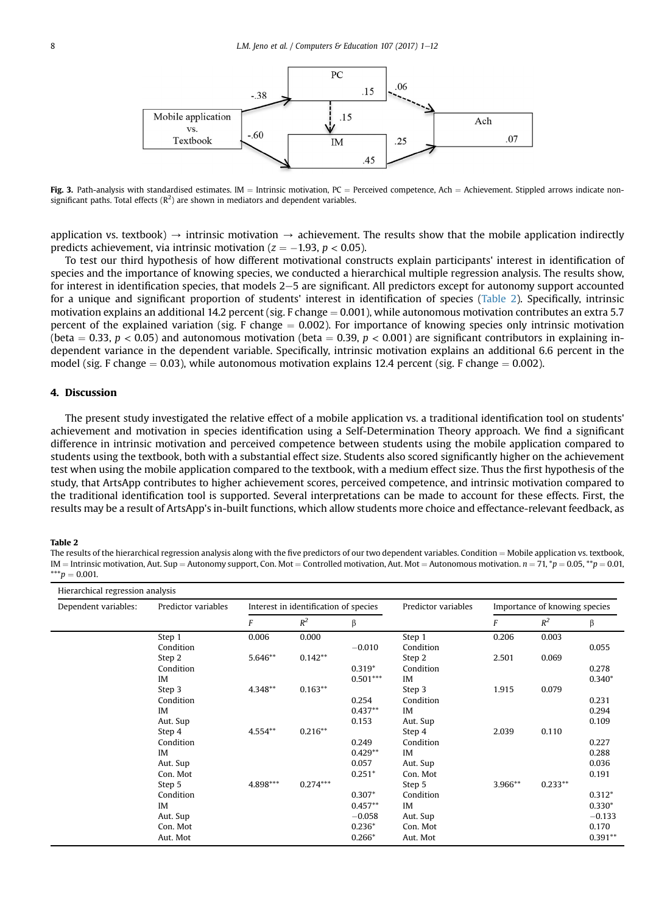<span id="page-7-0"></span>

Fig. 3. Path-analysis with standardised estimates. IM = Intrinsic motivation, PC = Perceived competence, Ach = Achievement. Stippled arrows indicate nonsignificant paths. Total effects ( $R^2$ ) are shown in mediators and dependent variables.

application vs. textbook)  $\rightarrow$  intrinsic motivation  $\rightarrow$  achievement. The results show that the mobile application indirectly predicts achievement, via intrinsic motivation ( $z = -1.93$ ,  $p < 0.05$ ).

To test our third hypothesis of how different motivational constructs explain participants' interest in identification of species and the importance of knowing species, we conducted a hierarchical multiple regression analysis. The results show, for interest in identification species, that models  $2-5$  are significant. All predictors except for autonomy support accounted for a unique and significant proportion of students' interest in identification of species (Table 2). Specifically, intrinsic motivation explains an additional 14.2 percent (sig. F change  $= 0.001$ ), while autonomous motivation contributes an extra 5.7 percent of the explained variation (sig. F change  $= 0.002$ ). For importance of knowing species only intrinsic motivation (beta = 0.33,  $p < 0.05$ ) and autonomous motivation (beta = 0.39,  $p < 0.001$ ) are significant contributors in explaining independent variance in the dependent variable. Specifically, intrinsic motivation explains an additional 6.6 percent in the model (sig. F change  $= 0.03$ ), while autonomous motivation explains 12.4 percent (sig. F change  $= 0.002$ ).

#### 4. Discussion

The present study investigated the relative effect of a mobile application vs. a traditional identification tool on students' achievement and motivation in species identification using a Self-Determination Theory approach. We find a significant difference in intrinsic motivation and perceived competence between students using the mobile application compared to students using the textbook, both with a substantial effect size. Students also scored significantly higher on the achievement test when using the mobile application compared to the textbook, with a medium effect size. Thus the first hypothesis of the study, that ArtsApp contributes to higher achievement scores, perceived competence, and intrinsic motivation compared to the traditional identification tool is supported. Several interpretations can be made to account for these effects. First, the results may be a result of ArtsApp's in-built functions, which allow students more choice and effectance-relevant feedback, as

### Table 2

The results of the hierarchical regression analysis along with the five predictors of our two dependent variables. Condition = Mobile application vs. textbook,  $IM =$  Intrinsic motivation, Aut. Sup = Autonomy support, Con. Mot = Controlled motivation, Aut. Mot = Autonomous motivation.  $n = 71$ , \*p = 0.05, \*\*p = 0.01,  $***p = 0.001$ .

| Dependent variables: | Predictor variables | Interest in identification of species |            |            | Predictor variables | Importance of knowing species |           |           |
|----------------------|---------------------|---------------------------------------|------------|------------|---------------------|-------------------------------|-----------|-----------|
|                      |                     | F                                     | $R^2$      | β          |                     | F                             | $R^2$     | β         |
|                      | Step 1              | 0.006                                 | 0.000      |            | Step 1              | 0.206                         | 0.003     |           |
|                      | Condition           |                                       |            | $-0.010$   | Condition           |                               |           | 0.055     |
|                      | Step 2              | 5.646**                               | $0.142**$  |            | Step 2              | 2.501                         | 0.069     |           |
|                      | Condition           |                                       |            | $0.319*$   | Condition           |                               |           | 0.278     |
|                      | IM                  |                                       |            | $0.501***$ | IM                  |                               |           | $0.340*$  |
|                      | Step 3              | 4.348**                               | $0.163**$  |            | Step 3              | 1.915                         | 0.079     |           |
|                      | Condition           |                                       |            | 0.254      | Condition           |                               |           | 0.231     |
|                      | IM                  |                                       |            | $0.437**$  | IM                  |                               |           | 0.294     |
|                      | Aut. Sup            |                                       |            | 0.153      | Aut. Sup            |                               |           | 0.109     |
|                      | Step 4              | 4.554**                               | $0.216**$  |            | Step 4              | 2.039                         | 0.110     |           |
|                      | Condition           |                                       |            | 0.249      | Condition           |                               |           | 0.227     |
|                      | IM                  |                                       |            | $0.429**$  | IM                  |                               |           | 0.288     |
|                      | Aut. Sup            |                                       |            | 0.057      | Aut. Sup            |                               |           | 0.036     |
|                      | Con. Mot            |                                       |            | $0.251*$   | Con. Mot            |                               |           | 0.191     |
|                      | Step 5              | 4.898***                              | $0.274***$ |            | Step 5              | 3.966**                       | $0.233**$ |           |
|                      | Condition           |                                       |            | $0.307*$   | Condition           |                               |           | $0.312*$  |
|                      | IM                  |                                       |            | $0.457**$  | IM                  |                               |           | $0.330*$  |
|                      | Aut. Sup            |                                       |            | $-0.058$   | Aut. Sup            |                               |           | $-0.133$  |
|                      | Con. Mot            |                                       |            | $0.236*$   | Con. Mot            |                               |           | 0.170     |
|                      | Aut. Mot            |                                       |            | $0.266*$   | Aut. Mot            |                               |           | $0.391**$ |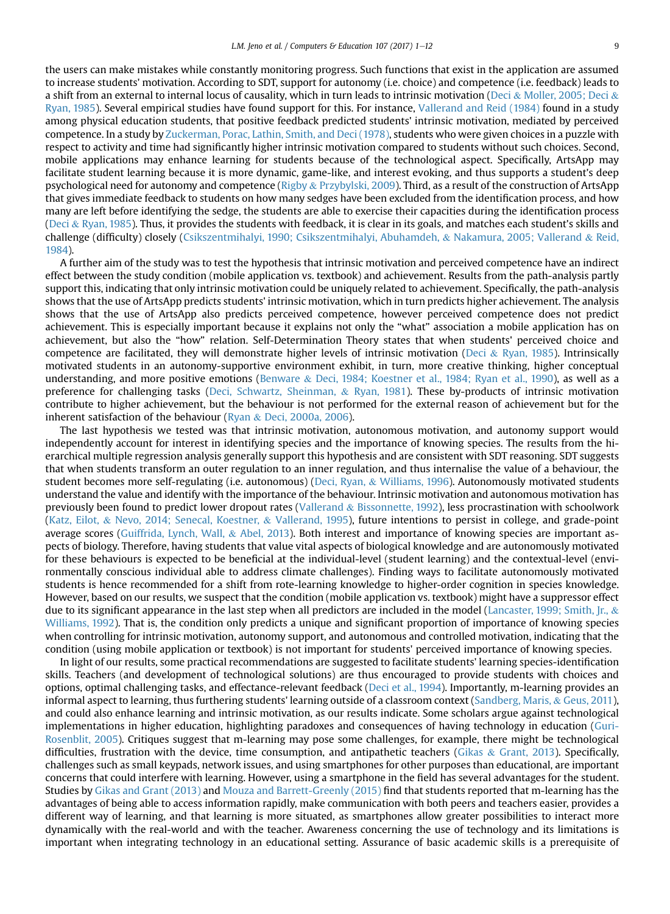the users can make mistakes while constantly monitoring progress. Such functions that exist in the application are assumed to increase students' motivation. According to SDT, support for autonomy (i.e. choice) and competence (i.e. feedback) leads to a shift from an external to internal locus of causality, which in turn leads to intrinsic motivation ([Deci](#page-9-0) & [Moller, 2005; Deci](#page-9-0) & [Ryan, 1985\)](#page-9-0). Several empirical studies have found support for this. For instance, [Vallerand and Reid \(1984\)](#page-11-0) found in a study among physical education students, that positive feedback predicted students' intrinsic motivation, mediated by perceived competence. In a study by [Zuckerman, Porac, Lathin, Smith, and Deci \(1978\)](#page-11-0), students who were given choices in a puzzle with respect to activity and time had significantly higher intrinsic motivation compared to students without such choices. Second, mobile applications may enhance learning for students because of the technological aspect. Specifically, ArtsApp may facilitate student learning because it is more dynamic, game-like, and interest evoking, and thus supports a student's deep psychological need for autonomy and competence ([Rigby](#page-10-0) & [Przybylski, 2009](#page-10-0)). Third, as a result of the construction of ArtsApp that gives immediate feedback to students on how many sedges have been excluded from the identification process, and how many are left before identifying the sedge, the students are able to exercise their capacities during the identification process ([Deci](#page-9-0) & [Ryan, 1985\)](#page-9-0). Thus, it provides the students with feedback, it is clear in its goals, and matches each student's skills and challenge (difficulty) closely [\(Csikszentmihalyi, 1990; Csikszentmihalyi, Abuhamdeh,](#page-9-0) & [Nakamura, 2005; Vallerand](#page-9-0) & [Reid,](#page-9-0) [1984](#page-9-0)).

A further aim of the study was to test the hypothesis that intrinsic motivation and perceived competence have an indirect effect between the study condition (mobile application vs. textbook) and achievement. Results from the path-analysis partly support this, indicating that only intrinsic motivation could be uniquely related to achievement. Specifically, the path-analysis shows that the use of ArtsApp predicts students' intrinsic motivation, which in turn predicts higher achievement. The analysis shows that the use of ArtsApp also predicts perceived competence, however perceived competence does not predict achievement. This is especially important because it explains not only the "what" association a mobile application has on achievement, but also the "how" relation. Self-Determination Theory states that when students' perceived choice and competence are facilitated, they will demonstrate higher levels of intrinsic motivation ([Deci](#page-9-0) & [Ryan, 1985](#page-9-0)). Intrinsically motivated students in an autonomy-supportive environment exhibit, in turn, more creative thinking, higher conceptual understanding, and more positive emotions [\(Benware](#page-9-0) & [Deci, 1984; Koestner et al., 1984; Ryan et al., 1990\)](#page-9-0), as well as a preference for challenging tasks [\(Deci, Schwartz, Sheinman,](#page-9-0) & [Ryan, 1981](#page-9-0)). These by-products of intrinsic motivation contribute to higher achievement, but the behaviour is not performed for the external reason of achievement but for the inherent satisfaction of the behaviour [\(Ryan](#page-11-0) & [Deci, 2000a, 2006](#page-11-0)).

The last hypothesis we tested was that intrinsic motivation, autonomous motivation, and autonomy support would independently account for interest in identifying species and the importance of knowing species. The results from the hierarchical multiple regression analysis generally support this hypothesis and are consistent with SDT reasoning. SDT suggests that when students transform an outer regulation to an inner regulation, and thus internalise the value of a behaviour, the student becomes more self-regulating (i.e. autonomous) ([Deci, Ryan,](#page-9-0) & [Williams, 1996\)](#page-9-0). Autonomously motivated students understand the value and identify with the importance of the behaviour. Intrinsic motivation and autonomous motivation has previously been found to predict lower dropout rates [\(Vallerand](#page-11-0) & [Bissonnette, 1992](#page-11-0)), less procrastination with schoolwork ([Katz, Eilot,](#page-10-0) & [Nevo, 2014; Senecal, Koestner,](#page-10-0) & [Vallerand, 1995](#page-10-0)), future intentions to persist in college, and grade-point average scores [\(Guiffrida, Lynch, Wall,](#page-10-0) & [Abel, 2013](#page-10-0)). Both interest and importance of knowing species are important aspects of biology. Therefore, having students that value vital aspects of biological knowledge and are autonomously motivated for these behaviours is expected to be beneficial at the individual-level (student learning) and the contextual-level (environmentally conscious individual able to address climate challenges). Finding ways to facilitate autonomously motivated students is hence recommended for a shift from rote-learning knowledge to higher-order cognition in species knowledge. However, based on our results, we suspect that the condition (mobile application vs. textbook) might have a suppressor effect due to its significant appearance in the last step when all predictors are included in the model ([Lancaster, 1999; Smith, Jr.,](#page-10-0) & [Williams, 1992\)](#page-10-0). That is, the condition only predicts a unique and significant proportion of importance of knowing species when controlling for intrinsic motivation, autonomy support, and autonomous and controlled motivation, indicating that the condition (using mobile application or textbook) is not important for students' perceived importance of knowing species.

In light of our results, some practical recommendations are suggested to facilitate students' learning species-identification skills. Teachers (and development of technological solutions) are thus encouraged to provide students with choices and options, optimal challenging tasks, and effectance-relevant feedback ([Deci et al., 1994\)](#page-9-0). Importantly, m-learning provides an informal aspect to learning, thus furthering students' learning outside of a classroom context ([Sandberg, Maris,](#page-11-0) & [Geus, 2011](#page-11-0)), and could also enhance learning and intrinsic motivation, as our results indicate. Some scholars argue against technological implementations in higher education, highlighting paradoxes and consequences of having technology in education [\(Guri-](#page-10-0)[Rosenblit, 2005\)](#page-10-0). Critiques suggest that m-learning may pose some challenges, for example, there might be technological difficulties, frustration with the device, time consumption, and antipathetic teachers [\(Gikas](#page-10-0) & [Grant, 2013\)](#page-10-0). Specifically, challenges such as small keypads, network issues, and using smartphones for other purposes than educational, are important concerns that could interfere with learning. However, using a smartphone in the field has several advantages for the student. Studies by [Gikas and Grant \(2013\)](#page-10-0) and [Mouza and Barrett-Greenly \(2015\)](#page-10-0) find that students reported that m-learning has the advantages of being able to access information rapidly, make communication with both peers and teachers easier, provides a different way of learning, and that learning is more situated, as smartphones allow greater possibilities to interact more dynamically with the real-world and with the teacher. Awareness concerning the use of technology and its limitations is important when integrating technology in an educational setting. Assurance of basic academic skills is a prerequisite of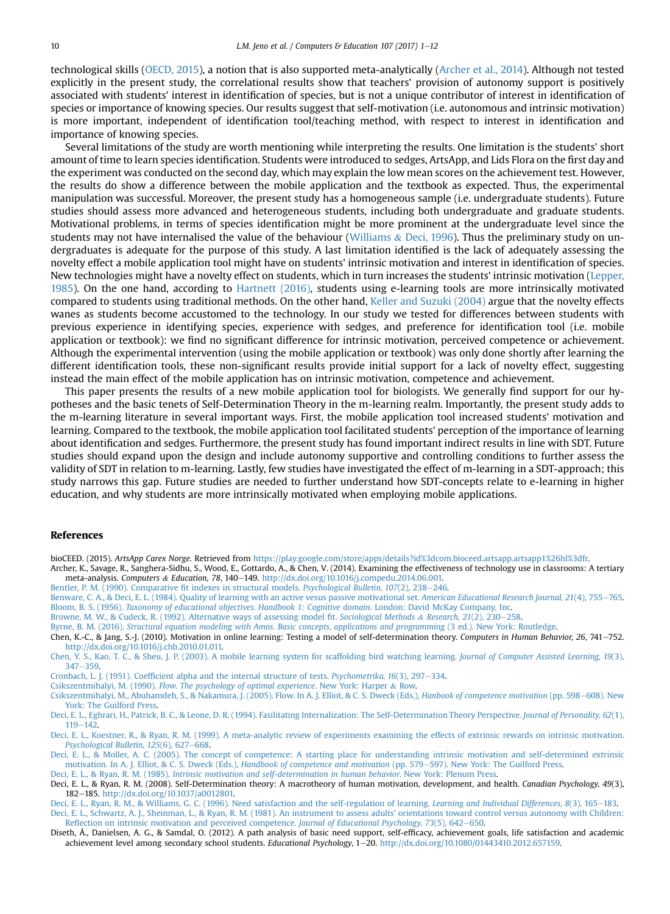<span id="page-9-0"></span>technological skills [\(OECD, 2015\)](#page-10-0), a notion that is also supported meta-analytically (Archer et al., 2014). Although not tested explicitly in the present study, the correlational results show that teachers' provision of autonomy support is positively associated with students' interest in identification of species, but is not a unique contributor of interest in identification of species or importance of knowing species. Our results suggest that self-motivation (i.e. autonomous and intrinsic motivation) is more important, independent of identification tool/teaching method, with respect to interest in identification and importance of knowing species.

Several limitations of the study are worth mentioning while interpreting the results. One limitation is the students' short amount of time to learn species identification. Students were introduced to sedges, ArtsApp, and Lids Flora on the first day and the experiment was conducted on the second day, which may explain the low mean scores on the achievement test. However, the results do show a difference between the mobile application and the textbook as expected. Thus, the experimental manipulation was successful. Moreover, the present study has a homogeneous sample (i.e. undergraduate students). Future studies should assess more advanced and heterogeneous students, including both undergraduate and graduate students. Motivational problems, in terms of species identification might be more prominent at the undergraduate level since the students may not have internalised the value of the behaviour [\(Williams](#page-11-0)  $\&$  [Deci, 1996](#page-11-0)). Thus the preliminary study on undergraduates is adequate for the purpose of this study. A last limitation identified is the lack of adequately assessing the novelty effect a mobile application tool might have on students' intrinsic motivation and interest in identification of species. New technologies might have a novelty effect on students, which in turn increases the students' intrinsic motivation [\(Lepper,](#page-10-0) [1985\)](#page-10-0). On the one hand, according to [Hartnett \(2016\)](#page-10-0), students using e-learning tools are more intrinsically motivated compared to students using traditional methods. On the other hand, [Keller and Suzuki \(2004\)](#page-10-0) argue that the novelty effects wanes as students become accustomed to the technology. In our study we tested for differences between students with previous experience in identifying species, experience with sedges, and preference for identification tool (i.e. mobile application or textbook): we find no significant difference for intrinsic motivation, perceived competence or achievement. Although the experimental intervention (using the mobile application or textbook) was only done shortly after learning the different identification tools, these non-significant results provide initial support for a lack of novelty effect, suggesting instead the main effect of the mobile application has on intrinsic motivation, competence and achievement.

This paper presents the results of a new mobile application tool for biologists. We generally find support for our hypotheses and the basic tenets of Self-Determination Theory in the m-learning realm. Importantly, the present study adds to the m-learning literature in several important ways. First, the mobile application tool increased students' motivation and learning. Compared to the textbook, the mobile application tool facilitated students' perception of the importance of learning about identification and sedges. Furthermore, the present study has found important indirect results in line with SDT. Future studies should expand upon the design and include autonomy supportive and controlling conditions to further assess the validity of SDT in relation to m-learning. Lastly, few studies have investigated the effect of m-learning in a SDT-approach; this study narrows this gap. Future studies are needed to further understand how SDT-concepts relate to e-learning in higher education, and why students are more intrinsically motivated when employing mobile applications.

# References

bioCEED. (2015). ArtsApp Carex Norge. Retrieved from [https://play.google.com/store/apps/details?id%3dcom.bioceed.artsapp.artsapp1%26hl%3dfr.](https://play.google.com/store/apps/details?id%3dcom.bioceed.artsapp.artsapp1%26hl%3dfr)

Archer, K., Savage, R., Sanghera-Sidhu, S., Wood, E., Gottardo, A., & Chen, V. (2014). Examining the effectiveness of technology use in classrooms: A tertiary meta-analysis. Computers & Education, 78, 140-149. [http://dx.doi.org/10.1016/j.compedu.2014.06.001.](http://dx.doi.org/10.1016/j.compedu.2014.06.001)

[Bentler, P. M. \(1990\). Comparative](http://refhub.elsevier.com/S0360-1315(16)30253-6/sref3) fit indexes in structural models. Psychological Bulletin, 107(2), 238–[246](http://refhub.elsevier.com/S0360-1315(16)30253-6/sref3).

[Benware, C. A., & Deci, E. L. \(1984\). Quality of learning with an active vesus passive motivational set.](http://refhub.elsevier.com/S0360-1315(16)30253-6/sref4) American Educational Research Journal, 21(4), 755-[765.](http://refhub.elsevier.com/S0360-1315(16)30253-6/sref4) Bloom, B. S. (1956). [Taxonomy of educational objectives. Handbook 1: Cognitive domain](http://refhub.elsevier.com/S0360-1315(16)30253-6/sref5). London: David McKay Company, Inc.

[Browne, M. W., & Cudeck, R. \(1992\). Alternative ways of assessing model](http://refhub.elsevier.com/S0360-1315(16)30253-6/sref6) fit. Sociological Methods & [Research, 21](http://refhub.elsevier.com/S0360-1315(16)30253-6/sref6)(2), 230-[258](http://refhub.elsevier.com/S0360-1315(16)30253-6/sref6).

Byrne, B. M. (2016). [Structural equation modeling with Amos. Basic concepts, applications and programming](http://refhub.elsevier.com/S0360-1315(16)30253-6/sref7) (3 ed.). New York: Routledge.

Chen, K.-C., & Jang, S.-J. (2010). Motivation in online learning: Testing a model of self-determination theory. Computers in Human Behavior, 26, 741-752. [http://dx.doi.org/10.1016/j.chb.2010.01.011.](http://dx.doi.org/10.1016/j.chb.2010.01.011)

[Chen, Y. S., Kao, T. C., & Sheu, J. P. \(2003\). A mobile learning system for scaffolding bird watching learning.](http://refhub.elsevier.com/S0360-1315(16)30253-6/sref9) Journal of Computer Assisted Learning, 19(3), [347](http://refhub.elsevier.com/S0360-1315(16)30253-6/sref9)-[359](http://refhub.elsevier.com/S0360-1315(16)30253-6/sref9).

Cronbach, L. J. (1951). Coeffi[cient alpha and the internal structure of tests.](http://refhub.elsevier.com/S0360-1315(16)30253-6/sref10) Psychometrika, 16(3), 297-[334.](http://refhub.elsevier.com/S0360-1315(16)30253-6/sref10)

Csikszentmihalyi, M. (1990). [Flow. The psychology of optimal experience](http://refhub.elsevier.com/S0360-1315(16)30253-6/sref11). New York: Harper & [Row.](http://refhub.elsevier.com/S0360-1315(16)30253-6/sref11)

[Csikszentmihalyi, M., Abuhamdeh, S., & Nakamura, J. \(2005\). Flow. In A. J. Elliot, & C. S. Dweck \(Eds.\),](http://refhub.elsevier.com/S0360-1315(16)30253-6/sref12) Hanbook of competence motivation (pp. 598-[608\). New](http://refhub.elsevier.com/S0360-1315(16)30253-6/sref12) [York: The Guilford Press](http://refhub.elsevier.com/S0360-1315(16)30253-6/sref12).

[Deci, E. L., Eghrari, H., Patrick, B. C., & Leone, D. R. \(1994\). Fasilitating Internalization: The Self-Determination Theory Perspective.](http://refhub.elsevier.com/S0360-1315(16)30253-6/sref13) Journal of Personality, 62(1),  $119 - 142$  $119 - 142$  $119 - 142$ .

[Deci, E. L., Koestner, R., & Ryan, R. M. \(1999\). A meta-analytic review of experiments examining the effects of extrinsic rewards on intrinsic motivation.](http://refhub.elsevier.com/S0360-1315(16)30253-6/sref14) [Psychological Bulletin, 125](http://refhub.elsevier.com/S0360-1315(16)30253-6/sref14)(6), 627-[668.](http://refhub.elsevier.com/S0360-1315(16)30253-6/sref14)

[Deci, E. L., & Moller, A. C. \(2005\). The concept of competence: A starting place for understanding intrinsic motivation and self-determined extrinsic](http://refhub.elsevier.com/S0360-1315(16)30253-6/sref15) [motivation. In A. J. Elliot, & C. S. Dweck \(Eds.\),](http://refhub.elsevier.com/S0360-1315(16)30253-6/sref15) Handbook of competence and motivation (pp. 579-[597\). New York: The Guilford Press.](http://refhub.elsevier.com/S0360-1315(16)30253-6/sref15)

Deci, E. L., & Ryan, R. M. (1985). [Intrinsic motivation and self-determination in human behavior](http://refhub.elsevier.com/S0360-1315(16)30253-6/sref16). New York: Plenum Press.

Deci, E. L., & Ryan, R. M. (2008). Self-Determination theory: A macrotheory of human motivation, development, and health. Canadian Psychology, 49(3), 182e185. [http://dx.doi.org/10.1037/a0012801.](http://dx.doi.org/10.1037/a0012801)

[Deci, E. L., Ryan, R. M., & Williams, G. C. \(1996\). Need satisfaction and the self-regulation of learning.](http://refhub.elsevier.com/S0360-1315(16)30253-6/sref18) Learning and Individual Differences, 8(3), 165–[183](http://refhub.elsevier.com/S0360-1315(16)30253-6/sref18). [Deci, E. L., Schwartz, A. J., Sheinman, L., & Ryan, R. M. \(1981\). An instrument to assess adults' orientations toward control versus autonomy with Children:](http://refhub.elsevier.com/S0360-1315(16)30253-6/sref19) Refl[ection on intrinsic motivation and perceived competence.](http://refhub.elsevier.com/S0360-1315(16)30253-6/sref19) Journal of Educational Psychology, 73(5), 642–[650](http://refhub.elsevier.com/S0360-1315(16)30253-6/sref19).

Diseth, Å., Danielsen, A. G., & Samdal, O. (2012). A path analysis of basic need support, self-efficacy, achievement goals, life satisfaction and academic achievement level among secondary school students. Educational Psychology, 1-20. <http://dx.doi.org/10.1080/01443410.2012.657159>.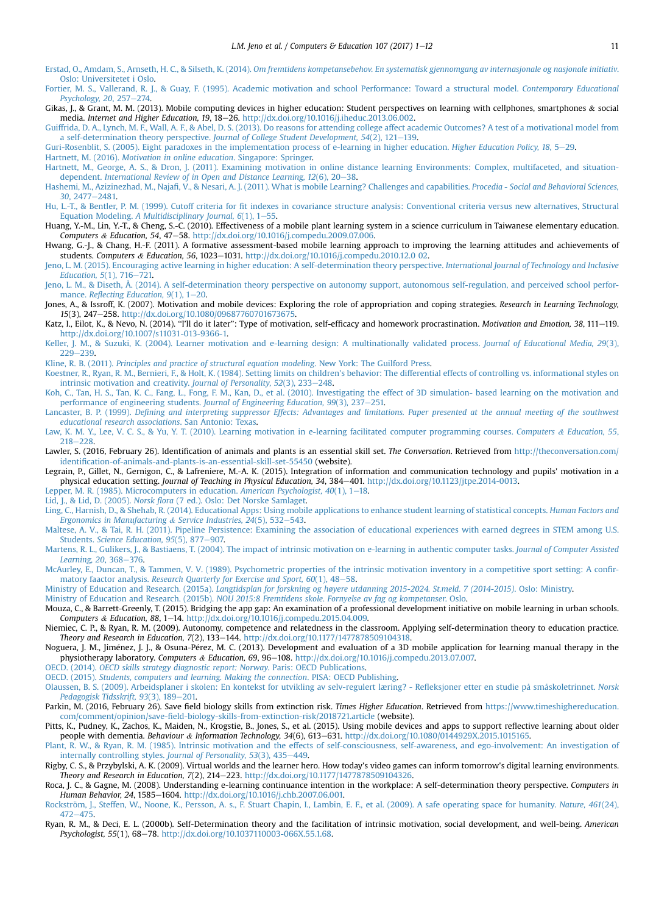- <span id="page-10-0"></span>Erstad, O., Amdam, S., Arnseth, H. C., & Silseth, K. (2014). [Om fremtidens kompetansebehov. En systematisk gjennomgang av internasjonale og nasjonale initiativ](http://refhub.elsevier.com/S0360-1315(16)30253-6/sref21). [Oslo: Universitetet i Oslo](http://refhub.elsevier.com/S0360-1315(16)30253-6/sref21).
- [Fortier, M. S., Vallerand, R. J., & Guay, F. \(1995\). Academic motivation and school Performance: Toward a structural model.](http://refhub.elsevier.com/S0360-1315(16)30253-6/sref22) Contemporary Educational Psychology,  $20, 257-274$ .
- Gikas, J., & Grant, M. M. (2013). Mobile computing devices in higher education: Student perspectives on learning with cellphones, smartphones & social media. Internet and Higher Education, 19, 18-26. <http://dx.doi.org/10.1016/j.iheduc.2013.06.002>.
- [Guiffrida, D. A., Lynch, M. F., Wall, A. F., & Abel, D. S. \(2013\). Do reasons for attending college affect academic Outcomes? A test of a motivational model from](http://refhub.elsevier.com/S0360-1315(16)30253-6/sref24) a self-determination theory perspective. Journal of College Student Development,  $54(2)$ , 121-[139.](http://refhub.elsevier.com/S0360-1315(16)30253-6/sref24)
- [Guri-Rosenblit, S. \(2005\). Eight paradoxes in the implementation process of e-learning in higher education.](http://refhub.elsevier.com/S0360-1315(16)30253-6/sref25) Higher Education Policy, 18, 5-[29](http://refhub.elsevier.com/S0360-1315(16)30253-6/sref25).

Hartnett, M. (2016). [Motivation in online education](http://refhub.elsevier.com/S0360-1315(16)30253-6/sref26). Singapore: Springer. [Hartnett, M., George, A. S., & Dron, J. \(2011\). Examining motivation in online distance learning Environments: Complex, multifaceted, and situation-](http://refhub.elsevier.com/S0360-1315(16)30253-6/sref27)

- dependent. [International Review of in Open and Distance Learning, 12](http://refhub.elsevier.com/S0360-1315(16)30253-6/sref27)(6), 20-[38](http://refhub.elsevier.com/S0360-1315(16)30253-6/sref27). Hashemi, M., Azizinezhad, M., Najafi[, V., & Nesari, A. J. \(2011\). What is mobile Learning? Challenges and capabilities.](http://refhub.elsevier.com/S0360-1315(16)30253-6/sref28) Procedia - Social and Behavioral Sciences,
- 30[, 2477](http://refhub.elsevier.com/S0360-1315(16)30253-6/sref28)-[2481.](http://refhub.elsevier.com/S0360-1315(16)30253-6/sref28) Hu, L.-T., & Bentler, P. M. (1999). Cutoff criteria for fi[t indexes in covariance structure analysis: Conventional criteria versus new alternatives, Structural](http://refhub.elsevier.com/S0360-1315(16)30253-6/sref29)
- Equation Modeling. A Multidisciplinary Journal,  $6(1)$ ,  $1-55$  $1-55$ .
- Huang, Y.-M., Lin, Y.-T., & Cheng, S.-C. (2010). Effectiveness of a mobile plant learning system in a science curriculum in Taiwanese elementary education. Computers & Education, 54, 47-58. [http://dx.doi.org/10.1016/j.compedu.2009.07.006.](http://dx.doi.org/10.1016/j.compedu.2009.07.006)
- Hwang, G.-J., & Chang, H.-F. (2011). A formative assessment-based mobile learning approach to improving the learning attitudes and achievements of students. Computers & Education, 56, 1023-1031. [http://dx.doi.org/10.1016/j.compedu.2010.12.0 02.](http://dx.doi.org/10.1016/j.compedu.2010.12.0 02)
- [Jeno, L. M. \(2015\). Encouraging active learning in higher education: A self-determination theory perspective.](http://refhub.elsevier.com/S0360-1315(16)30253-6/sref32) International Journal of Technology and Inclusive Education,  $5(1)$ ,  $716 - 721$ .
- [Jeno, L. M., & Diseth, Å. \(2014\). A self-determination theory perspective on autonomy support, autonomous self-regulation, and perceived school perfor](http://refhub.elsevier.com/S0360-1315(16)30253-6/sref33)mance. Reflecting Education,  $9(1)$ ,  $1-20$  $1-20$ .
- Jones, A., & Issroff, K. (2007). Motivation and mobile devices: Exploring the role of appropriation and coping strategies. Research in Learning Technology, 15(3), 247-258. [http://dx.doi.org/10.1080/09687760701673675.](http://dx.doi.org/10.1080/09687760701673675)
- Katz, I., Eilot, K., & Nevo, N. (2014). "I'll do it later": Type of motivation, self-efficacy and homework procrastination. Motivation and Emotion, 38, 111-119. [http://dx.doi.org/10.1007/s11031-013-9366-1.](http://dx.doi.org/10.1007/s11031-013-9366-1)
- [Keller, J. M., & Suzuki, K. \(2004\). Learner motivation and e-learning design: A multinationally validated process.](http://refhub.elsevier.com/S0360-1315(16)30253-6/sref36) Journal of Educational Media, 29(3),  $229 - 239$  $229 - 239$ .
- Kline, R. B. (2011). [Principles and practice of structural equation modeling](http://refhub.elsevier.com/S0360-1315(16)30253-6/sref37). New York: The Guilford Press.
- [Koestner, R., Ryan, R. M., Bernieri, F., & Holt, K. \(1984\). Setting limits on children's behavior: The differential effects of controlling vs. informational styles on](http://refhub.elsevier.com/S0360-1315(16)30253-6/sref38) [intrinsic motivation and creativity.](http://refhub.elsevier.com/S0360-1315(16)30253-6/sref38) Journal of Personality, 52(3), 233-[248](http://refhub.elsevier.com/S0360-1315(16)30253-6/sref38).
- [Koh, C., Tan, H. S., Tan, K. C., Fang, L., Fong, F. M., Kan, D., et al. \(2010\). Investigating the effect of 3D simulation- based learning on the motivation](http://refhub.elsevier.com/S0360-1315(16)30253-6/sref39) and [performance of engineering students.](http://refhub.elsevier.com/S0360-1315(16)30253-6/sref39) Journal of Engineering Education,  $99(3)$ ,  $237-251$ .
- Lancaster, B. P. (1999). Defi[ning and interpreting suppressor Effects: Advantages and limitations. Paper presented at the annual meeting of the southwest](http://refhub.elsevier.com/S0360-1315(16)30253-6/sref40) [educational research associations](http://refhub.elsevier.com/S0360-1315(16)30253-6/sref40). San Antonio: Texas.
- [Law, K. M. Y., Lee, V. C. S., & Yu, Y. T. \(2010\). Learning motivation in e-learning facilitated computer programming courses.](http://refhub.elsevier.com/S0360-1315(16)30253-6/sref41) Computers & [Education, 55](http://refhub.elsevier.com/S0360-1315(16)30253-6/sref41), [218](http://refhub.elsevier.com/S0360-1315(16)30253-6/sref41)-[228.](http://refhub.elsevier.com/S0360-1315(16)30253-6/sref41)
- Lawler, S. (2016, February 26). Identification of animals and plants is an essential skill set. The Conversation. Retrieved from [http://theconversation.com/](http://theconversation.com/identification-of-animals-and-plants-is-an-essential-skill-set-55450) identifi[cation-of-animals-and-plants-is-an-essential-skill-set-55450](http://theconversation.com/identification-of-animals-and-plants-is-an-essential-skill-set-55450) (website).
- Legrain, P., Gillet, N., Gernigon, C., & Lafreniere, M.-A. K. (2015). Integration of information and communication technology and pupils' motivation in a physical education setting. Journal of Teaching in Physical Education, 34, 384-401. [http://dx.doi.org/10.1123/jtpe.2014-0013.](http://dx.doi.org/10.1123/jtpe.2014-0013)
- [Lepper, M. R. \(1985\). Microcomputers in education.](http://refhub.elsevier.com/S0360-1315(16)30253-6/sref44) American Psychologist,  $40(1)$ ,  $1-18$ .
- Lid, J., & Lid, D. (2005). Norsk flora [\(7 ed.\). Oslo: Det Norske Samlaget](http://refhub.elsevier.com/S0360-1315(16)30253-6/sref45).
- [Ling, C., Harnish, D., & Shehab, R. \(2014\). Educational Apps: Using mobile applications to enhance student learning of statistical concepts.](http://refhub.elsevier.com/S0360-1315(16)30253-6/sref46) Human Factors and [Ergonomics in Manufacturing](http://refhub.elsevier.com/S0360-1315(16)30253-6/sref46) & Service Industries,  $24(5)$ , 532-[543](http://refhub.elsevier.com/S0360-1315(16)30253-6/sref46).
- [Maltese, A. V., & Tai, R. H. \(2011\). Pipeline Persistence: Examining the association of educational experiences with earned degrees in STEM among U.S.](http://refhub.elsevier.com/S0360-1315(16)30253-6/sref47) Students. [Science Education, 95](http://refhub.elsevier.com/S0360-1315(16)30253-6/sref47)(5), 877-[907.](http://refhub.elsevier.com/S0360-1315(16)30253-6/sref47)
- [Martens, R. L., Gulikers, J., & Bastiaens, T. \(2004\). The impact of intrinsic motivation on e-learning in authentic computer tasks.](http://refhub.elsevier.com/S0360-1315(16)30253-6/sref48) Journal of Computer Assisted [Learning, 20](http://refhub.elsevier.com/S0360-1315(16)30253-6/sref48), 368-[376](http://refhub.elsevier.com/S0360-1315(16)30253-6/sref48).
- [McAurley, E., Duncan, T., & Tammen, V. V. \(1989\). Psychometric properties of the intrinsic motivation inventory in a competitive sport setting: A con](http://refhub.elsevier.com/S0360-1315(16)30253-6/sref49)fir-matory faactor analysis. [Research Quarterly for Exercise and Sport, 60](http://refhub.elsevier.com/S0360-1315(16)30253-6/sref49)(1), 48-[58.](http://refhub.elsevier.com/S0360-1315(16)30253-6/sref49)
- [Ministry of Education and Research. \(2015a\).](http://refhub.elsevier.com/S0360-1315(16)30253-6/sref50) Langtidsplan for forskning og hø[yere utdanning 2015-2024. St.meld. 7 \(2014-2015\)](http://refhub.elsevier.com/S0360-1315(16)30253-6/sref50). Oslo: Ministry.
- Ministry of Education and Research. (2015b). [NOU 2015:8 Fremtidens skole. Fornyelse av fag og kompetanser](http://refhub.elsevier.com/S0360-1315(16)30253-6/sref51). Oslo.
- Mouza, C., & Barrett-Greenly, T. (2015). Bridging the app gap: An examination of a professional development initiative on mobile learning in urban schools. Computers & Education, 88, 1-14. <http://dx.doi.org/10.1016/j.compedu.2015.04.009>.
- Niemiec, C. P., & Ryan, R. M. (2009). Autonomy, competence and relatedness in the classroom. Applying self-determination theory to education practice. Theory and Research in Education, 7(2), 133-144. <http://dx.doi.org/10.1177/1477878509104318>
- Noguera, J. M., Jiménez, J. J., & Osuna-Pérez, M. C. (2013). Development and evaluation of a 3D mobile application for learning manual therapy in the physiotherapy laboratory. Computers & Education, 69, 96-108. [http://dx.doi.org/10.1016/j.compedu.2013.07.007.](http://dx.doi.org/10.1016/j.compedu.2013.07.007)
- OECD. (2014). [OECD skills strategy diagnostic report: Norway](http://refhub.elsevier.com/S0360-1315(16)30253-6/sref55). Paris: OECD Publications.
- OECD. (2015). [Students, computers and learning. Making the connection](http://refhub.elsevier.com/S0360-1315(16)30253-6/sref56). PISA: OECD Publishing.
- [Olaussen, B. S. \(2009\). Arbeidsplaner i skolen: En kontekst for utvikling av selv-regulert læring? Re](http://refhub.elsevier.com/S0360-1315(16)30253-6/sref57)fleksjoner etter en studie på småskoletrinnet. Norsk [Pedagogisk Tidsskrift, 93](http://refhub.elsevier.com/S0360-1315(16)30253-6/sref57)(3), 189-[201.](http://refhub.elsevier.com/S0360-1315(16)30253-6/sref57)
- Parkin, M. (2016, February 26). Save field biology skills from extinction risk. Times Higher Education. Retrieved from [https://www.timeshighereducation.](https://www.timeshighereducation.com/comment/opinion/save-field-biology-skills-from-extinction-risk/2018721.article) com/comment/opinion/save-fi[eld-biology-skills-from-extinction-risk/2018721.article](https://www.timeshighereducation.com/comment/opinion/save-field-biology-skills-from-extinction-risk/2018721.article) (website).
- Pitts, K., Pudney, K., Zachos, K., Maiden, N., Krogstie, B., Jones, S., et al. (2015). Using mobile devices and apps to support reflective learning about older people with dementia. Behaviour & Information Technology, 34(6), 613-631. <http://dx.doi.org/10.1080/0144929X.2015.1015165>.
- [Plant, R. W., & Ryan, R. M. \(1985\). Intrinsic motivation and the effects of self-consciousness, self-awareness, and ego-involvement: An investigation of](http://refhub.elsevier.com/S0360-1315(16)30253-6/sref60) [internally controlling styles.](http://refhub.elsevier.com/S0360-1315(16)30253-6/sref60) Journal of Personality, 53(3), 435-[449](http://refhub.elsevier.com/S0360-1315(16)30253-6/sref60).
- Rigby, C. S., & Przybylski, A. K. (2009). Virtual worlds and the learner hero. How today's video games can inform tomorrow's digital learning environments. Theory and Research in Education, 7(2), 214-223. [http://dx.doi.org/10.1177/1477878509104326.](http://dx.doi.org/10.1177/1477878509104326)
- Roca, J. C., & Gagne, M. (2008). Understanding e-learning continuance intention in the workplace: A self-determination theory perspective. Computers in Human Behavior, 24, 1585-1604. [http://dx.doi.org/10.1016/j.chb.2007.06.001.](http://dx.doi.org/10.1016/j.chb.2007.06.001)
- Rockström, J., Steffen, W., Noone, K., Persson, A. s., F. Stuart Chapin, I., Lambin, E. F., et al. (2009). A safe operating space for humanity. Nature, 461(24),  $472 - 475$  $472 - 475$ .
- Ryan, R. M., & Deci, E. L. (2000b). Self-Determination theory and the facilitation of intrinsic motivation, social development, and well-being. American Psychologist, 55(1), 68-78. <http://dx.doi.org/10.1037110003-066X.55.1.68>.